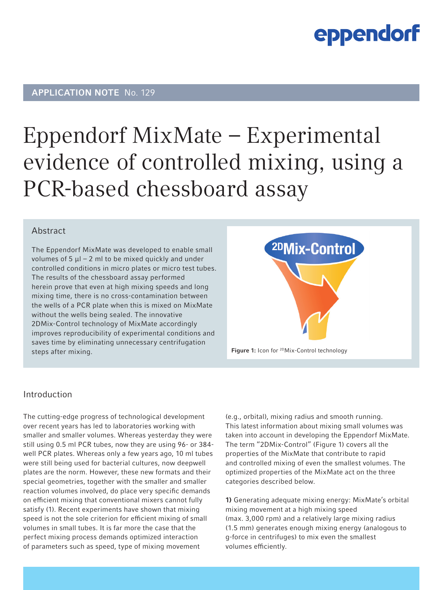## APPLICATION NOTE No. 129

## Eppendorf MixMate – Experimental evidence of controlled mixing, using a PCR-based chessboard assay

### Abstract

The Eppendorf MixMate was developed to enable small volumes of  $5 \mu$ l – 2 ml to be mixed quickly and under controlled conditions in micro plates or micro test tubes. The results of the chessboard assay performed herein prove that even at high mixing speeds and long mixing time, there is no cross-contamination between the wells of a PCR plate when this is mixed on MixMate without the wells being sealed. The innovative 2DMix-Control technology of MixMate accordingly improves reproducibility of experimental conditions and saves time by eliminating unnecessary centrifugation steps after mixing.



### Introduction

The cutting-edge progress of technological development over recent years has led to laboratories working with smaller and smaller volumes. Whereas yesterday they were still using 0.5 ml PCR tubes, now they are using 96- or 384 well PCR plates. Whereas only a few years ago, 10 ml tubes were still being used for bacterial cultures, now deepwell plates are the norm. However, these new formats and their special geometries, together with the smaller and smaller reaction volumes involved, do place very specific demands on efficient mixing that conventional mixers cannot fully satisfy (1). Recent experiments have shown that mixing speed is not the sole criterion for efficient mixing of small volumes in small tubes. It is far more the case that the perfect mixing process demands optimized interaction of parameters such as speed, type of mixing movement

(e.g., orbital), mixing radius and smooth running. This latest information about mixing small volumes was taken into account in developing the Eppendorf MixMate. The term "2DMix-Control" (Figure 1) covers all the properties of the MixMate that contribute to rapid and controlled mixing of even the smallest volumes. The optimized properties of the MixMate act on the three categories described below.

1) Generating adequate mixing energy: MixMate's orbital mixing movement at a high mixing speed (max. 3,000 rpm) and a relatively large mixing radius (1.5 mm) generates enough mixing energy (analogous to g-force in centrifuges) to mix even the smallest volumes efficiently.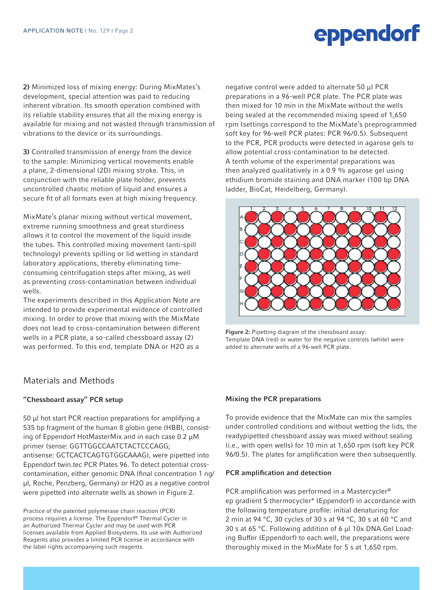2) Minimized loss of mixing energy: During MixMates's development, special attention was paid to reducing inherent vibration. Its smooth operation combined with its reliable stability ensures that all the mixing energy is available for mixing and not wasted through transmission of vibrations to the device or its surroundings.

3) Controlled transmission of energy from the device to the sample: Minimizing vertical movements enable a plane, 2-dimensional (2D) mixing stroke. This, in conjunction with the reliable plate holder, prevents uncontrolled chaotic motion of liquid and ensures a secure fit of all formats even at high mixing frequency.

MixMate's planar mixing without vertical movement, extreme running smoothness and great sturdiness allows it to control the movement of the liquid inside the tubes. This controlled mixing movement (anti-spill technology) prevents spilling or lid wetting in standard laboratory applications, thereby eliminating timeconsuming centrifugation steps after mixing, as well as preventing cross-contamination between individual wells.

The experiments described in this Application Note are intended to provide experimental evidence of controlled mixing. In order to prove that mixing with the MixMate does not lead to cross-contamination between different wells in a PCR plate, a so-called chessboard assay (2) was performed. To this end, template DNA or H2O as a

## Materials and Methods

#### "Chessboard assay" PCR setup

50 μl hot start PCR reaction preparations for amplifying a 535 bp fragment of the human ß globin gene (HBB), consisting of Eppendorf HotMasterMix and in each case 0.2 μM primer (sense: GGTTGGCCAATCTACTCCCAGG; antisense: GCTCACTCAGTGTGGCAAAG), were pipetted into Eppendorf twin.tec PCR Plates 96. To detect potential crosscontamination, either genomic DNA (final concentration 1 ng/ μl, Roche, Penzberg, Germany) or H2O as a negative control were pipetted into alternate wells as shown in Figure 2.

Practice of the patented polymerase chain reaction (PCR) process requires a license. The Eppendorf® Thermal Cycler in an Authorized Thermal Cycler and may be used with PCR licenses available from Applied Biosystems. Its use with Authorized Reagents also provides a limited PCR license in accordance with the label rights accompanying such reagents.

negative control were added to alternate 50 μl PCR preparations in a 96-well PCR plate. The PCR plate was then mixed for 10 min in the MixMate without the wells being sealed at the recommended mixing speed of 1,650 rpm (settings correspond to the MixMate's preprogrammed soft key for 96-well PCR plates: PCR 96/0.5). Subsequent to the PCR, PCR products were detected in agarose gels to allow potential cross-contamination to be detected. A tenth volume of the experimental preparations was then analyzed qualitatively in a 0.9 % agarose gel using ethidium bromide staining and DNA marker (100 bp DNA ladder, BioCat, Heidelberg, Germany).



Figure 2: Pipetting diagram of the chessboard assay: Template DNA (red) or water for the negative controls (white) were added to alternate wells of a 96-well PCR plate.

#### Mixing the PCR preparations

To provide evidence that the MixMate can mix the samples under controlled conditions and without wetting the lids, the readypipetted chessboard assay was mixed without sealing (i.e., with open wells) for 10 min at 1,650 rpm (soft key PCR 96/0.5). The plates for amplification were then subsequently.

#### PCR amplification and detection

PCR amplification was performed in a Mastercycler® ep gradient S thermocycler\* (Eppendorf) in accordance with the following temperature profile: initial denaturing for 2 min at 94 °C, 30 cycles of 30 s at 94 °C, 30 s at 60 °C and 30 s at 65 °C. Following addition of 6 μl 10x DNA Gel Loading Buffer (Eppendorf) to each well, the preparations were thoroughly mixed in the MixMate for 5 s at 1,650 rpm.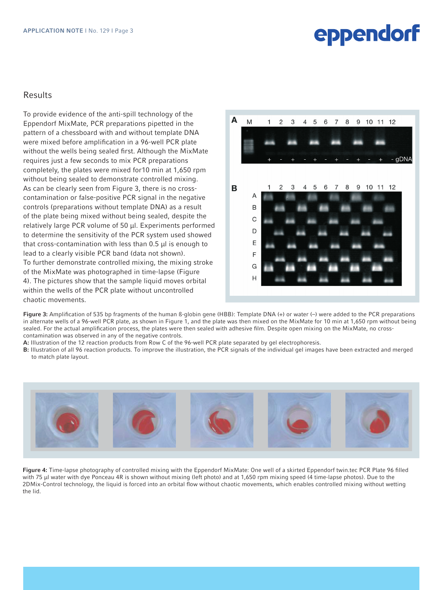### Results

To provide evidence of the anti-spill technology of the Eppendorf MixMate, PCR preparations pipetted in the pattern of a chessboard with and without template DNA were mixed before amplification in a 96-well PCR plate without the wells being sealed first. Although the MixMate requires just a few seconds to mix PCR preparations completely, the plates were mixed for10 min at 1,650 rpm without being sealed to demonstrate controlled mixing. As can be clearly seen from Figure 3, there is no crosscontamination or false-positive PCR signal in the negative controls (preparations without template DNA) as a result of the plate being mixed without being sealed, despite the relatively large PCR volume of 50 μl. Experiments performed to determine the sensitivity of the PCR system used showed that cross-contamination with less than 0.5 μl is enough to lead to a clearly visible PCR band (data not shown). To further demonstrate controlled mixing, the mixing stroke of the MixMate was photographed in time-lapse (Figure 4). The pictures show that the sample liquid moves orbital within the wells of the PCR plate without uncontrolled chaotic movements.



Figure 3: Amplification of 535 bp fragments of the human ß-globin gene (HBB): Template DNA (+) or water (-) were added to the PCR preparations in alternate wells of a 96-well PCR plate, as shown in Figure 1, and the plate was then mixed on the MixMate for 10 min at 1,650 rpm without being sealed. For the actual amplification process, the plates were then sealed with adhesive film. Despite open mixing on the MixMate, no crosscontamination was observed in any of the negative controls.

- A: Illustration of the 12 reaction products from Row C of the 96-well PCR plate separated by gel electrophoresis.
- B: Illustration of all 96 reaction products. To improve the illustration, the PCR signals of the individual gel images have been extracted and merged to match plate layout.



Figure 4: Time-lapse photography of controlled mixing with the Eppendorf MixMate: One well of a skirted Eppendorf twin.tec PCR Plate 96 filled with 75 μl water with dye Ponceau 4R is shown without mixing (left photo) and at 1,650 rpm mixing speed (4 time-lapse photos). Due to the 2DMix-Control technology, the liquid is forced into an orbital flow without chaotic movements, which enables controlled mixing without wetting the lid.